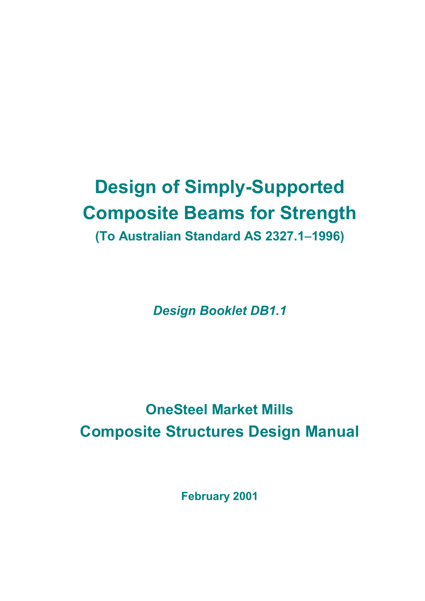# **Design of Simply-Supported Composite Beams for Strength (To Australian Standard AS 2327.1**−**1996)**

*Design Booklet DB1.1*

# **OneSteel Market Mills Composite Structures Design Manual**

**February 2001**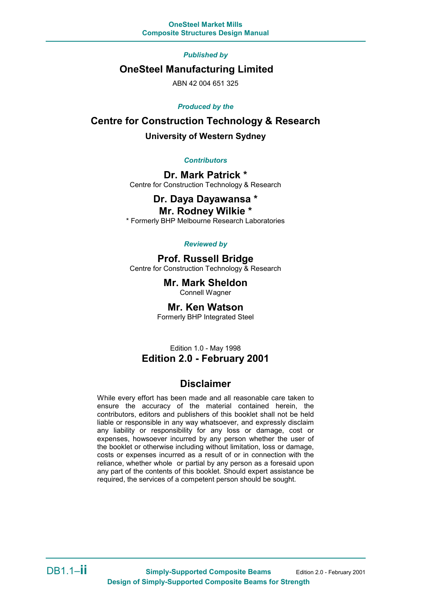*Published by*

### **OneSteel Manufacturing Limited**

ABN 42 004 651 325

#### *Produced by the*

### **Centre for Construction Technology & Research University of Western Sydney**

#### *Contributors*

**Dr. Mark Patrick \*** Centre for Construction Technology & Research

# **Dr. Daya Dayawansa \***

**Mr. Rodney Wilkie \*** \* Formerly BHP Melbourne Research Laboratories

#### *Reviewed by*

#### **Prof. Russell Bridge**

Centre for Construction Technology & Research

### **Mr. Mark Sheldon**

Connell Wagner

#### **Mr. Ken Watson**

Formerly BHP Integrated Steel

### Edition 1.0 - May 1998 **Edition 2.0 - February 2001**

### **Disclaimer**

While every effort has been made and all reasonable care taken to ensure the accuracy of the material contained herein, the contributors, editors and publishers of this booklet shall not be held liable or responsible in any way whatsoever, and expressly disclaim any liability or responsibility for any loss or damage, cost or expenses, howsoever incurred by any person whether the user of the booklet or otherwise including without limitation, loss or damage, costs or expenses incurred as a result of or in connection with the reliance, whether whole or partial by any person as a foresaid upon any part of the contents of this booklet. Should expert assistance be required, the services of a competent person should be sought.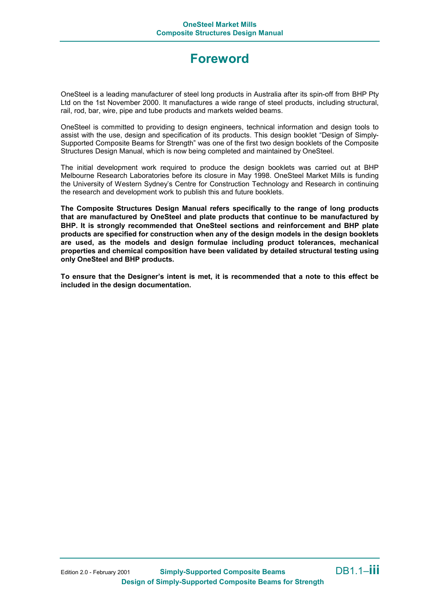## **Foreword**

OneSteel is a leading manufacturer of steel long products in Australia after its spin-off from BHP Pty Ltd on the 1st November 2000. It manufactures a wide range of steel products, including structural, rail, rod, bar, wire, pipe and tube products and markets welded beams.

OneSteel is committed to providing to design engineers, technical information and design tools to assist with the use, design and specification of its products. This design booklet "Design of Simply-Supported Composite Beams for Strength" was one of the first two design booklets of the Composite Structures Design Manual, which is now being completed and maintained by OneSteel.

The initial development work required to produce the design booklets was carried out at BHP Melbourne Research Laboratories before its closure in May 1998. OneSteel Market Mills is funding the University of Western Sydney's Centre for Construction Technology and Research in continuing the research and development work to publish this and future booklets.

**The Composite Structures Design Manual refers specifically to the range of long products that are manufactured by OneSteel and plate products that continue to be manufactured by BHP. It is strongly recommended that OneSteel sections and reinforcement and BHP plate products are specified for construction when any of the design models in the design booklets are used, as the models and design formulae including product tolerances, mechanical properties and chemical composition have been validated by detailed structural testing using only OneSteel and BHP products.**

**To ensure that the Designer's intent is met, it is recommended that a note to this effect be included in the design documentation.**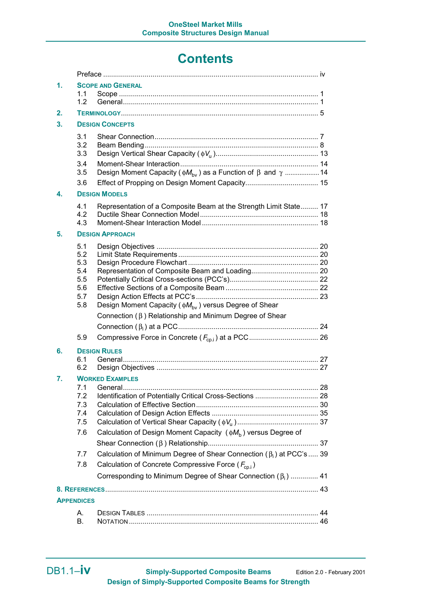## **Contents**

| 1.                | 1.1                                                  | <b>SCOPE AND GENERAL</b>                                                                                                                        |    |
|-------------------|------------------------------------------------------|-------------------------------------------------------------------------------------------------------------------------------------------------|----|
|                   | 1.2                                                  |                                                                                                                                                 |    |
| 2.                |                                                      |                                                                                                                                                 |    |
| 3.                | <b>DESIGN CONCEPTS</b>                               |                                                                                                                                                 |    |
|                   | 3.1<br>3.2<br>3.3                                    |                                                                                                                                                 |    |
|                   | 3.4<br>3.5                                           | Design Moment Capacity ( $\phi M_{\text{bv}}$ ) as a Function of $\beta$ and $\gamma$ 14                                                        |    |
|                   | 3.6                                                  |                                                                                                                                                 |    |
| 4.                | <b>DESIGN MODELS</b>                                 |                                                                                                                                                 |    |
|                   | 4.1<br>4.2<br>4.3                                    | Representation of a Composite Beam at the Strength Limit State 17                                                                               |    |
| 5.                | <b>DESIGN APPROACH</b>                               |                                                                                                                                                 |    |
|                   | 5.1<br>5.2<br>5.3<br>5.4<br>5.5<br>5.6<br>5.7<br>5.8 | Design Moment Capacity ( $\phi M_{\text{bv}}$ ) versus Degree of Shear                                                                          |    |
|                   |                                                      | Connection (β) Relationship and Minimum Degree of Shear                                                                                         |    |
|                   |                                                      |                                                                                                                                                 |    |
|                   | 5.9                                                  |                                                                                                                                                 |    |
| 6.                | <b>DESIGN RULES</b>                                  |                                                                                                                                                 |    |
|                   | 6.1<br>6.2                                           |                                                                                                                                                 |    |
| 7.                | <b>WORKED EXAMPLES</b>                               |                                                                                                                                                 |    |
|                   |                                                      | 71 General                                                                                                                                      | 28 |
|                   | 7.2<br>7.3                                           | Identification of Potentially Critical Cross-Sections  28                                                                                       |    |
|                   | 7.4                                                  |                                                                                                                                                 |    |
|                   | 7.5                                                  |                                                                                                                                                 |    |
|                   | 7.6                                                  | Calculation of Design Moment Capacity $(\phi M_b)$ versus Degree of                                                                             |    |
|                   |                                                      |                                                                                                                                                 |    |
|                   | 7.7<br>7.8                                           | Calculation of Minimum Degree of Shear Connection ( $\beta_i$ ) at PCC's  39<br>Calculation of Concrete Compressive Force ( $F_{\text{cn,i}}$ ) |    |
|                   |                                                      | Corresponding to Minimum Degree of Shear Connection $(\beta_i)$ 41                                                                              |    |
|                   |                                                      |                                                                                                                                                 |    |
| <b>APPENDICES</b> |                                                      |                                                                                                                                                 |    |
| А.                |                                                      |                                                                                                                                                 |    |
|                   | В.                                                   |                                                                                                                                                 |    |
|                   |                                                      |                                                                                                                                                 |    |